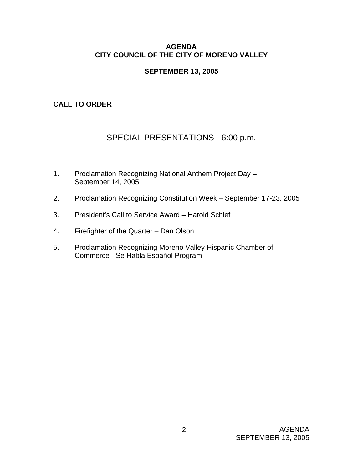# **AGENDA CITY COUNCIL OF THE CITY OF MORENO VALLEY**

# **SEPTEMBER 13, 2005**

# **CALL TO ORDER**

# SPECIAL PRESENTATIONS - 6:00 p.m.

- 1. Proclamation Recognizing National Anthem Project Day September 14, 2005
- 2. Proclamation Recognizing Constitution Week September 17-23, 2005
- 3. President's Call to Service Award Harold Schlef
- 4. Firefighter of the Quarter Dan Olson
- 5. Proclamation Recognizing Moreno Valley Hispanic Chamber of Commerce - Se Habla Español Program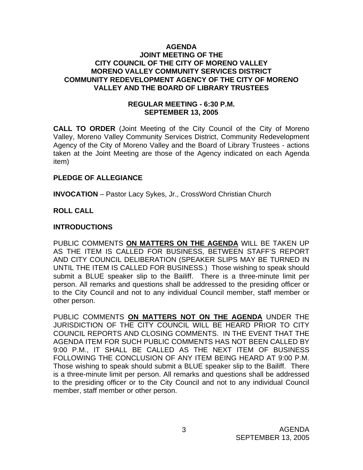#### **AGENDA JOINT MEETING OF THE CITY COUNCIL OF THE CITY OF MORENO VALLEY MORENO VALLEY COMMUNITY SERVICES DISTRICT COMMUNITY REDEVELOPMENT AGENCY OF THE CITY OF MORENO VALLEY AND THE BOARD OF LIBRARY TRUSTEES**

## **REGULAR MEETING - 6:30 P.M. SEPTEMBER 13, 2005**

**CALL TO ORDER** (Joint Meeting of the City Council of the City of Moreno Valley, Moreno Valley Community Services District, Community Redevelopment Agency of the City of Moreno Valley and the Board of Library Trustees - actions taken at the Joint Meeting are those of the Agency indicated on each Agenda item)

### **PLEDGE OF ALLEGIANCE**

**INVOCATION** – Pastor Lacy Sykes, Jr., CrossWord Christian Church

# **ROLL CALL**

# **INTRODUCTIONS**

PUBLIC COMMENTS **ON MATTERS ON THE AGENDA** WILL BE TAKEN UP AS THE ITEM IS CALLED FOR BUSINESS, BETWEEN STAFF'S REPORT AND CITY COUNCIL DELIBERATION (SPEAKER SLIPS MAY BE TURNED IN UNTIL THE ITEM IS CALLED FOR BUSINESS.) Those wishing to speak should submit a BLUE speaker slip to the Bailiff. There is a three-minute limit per person. All remarks and questions shall be addressed to the presiding officer or to the City Council and not to any individual Council member, staff member or other person.

PUBLIC COMMENTS **ON MATTERS NOT ON THE AGENDA** UNDER THE JURISDICTION OF THE CITY COUNCIL WILL BE HEARD PRIOR TO CITY COUNCIL REPORTS AND CLOSING COMMENTS. IN THE EVENT THAT THE AGENDA ITEM FOR SUCH PUBLIC COMMENTS HAS NOT BEEN CALLED BY 9:00 P.M., IT SHALL BE CALLED AS THE NEXT ITEM OF BUSINESS FOLLOWING THE CONCLUSION OF ANY ITEM BEING HEARD AT 9:00 P.M. Those wishing to speak should submit a BLUE speaker slip to the Bailiff. There is a three-minute limit per person. All remarks and questions shall be addressed to the presiding officer or to the City Council and not to any individual Council member, staff member or other person.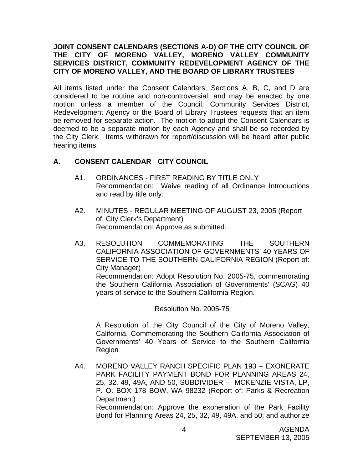# **JOINT CONSENT CALENDARS (SECTIONS A-D) OF THE CITY COUNCIL OF THE CITY OF MORENO VALLEY, MORENO VALLEY COMMUNITY SERVICES DISTRICT, COMMUNITY REDEVELOPMENT AGENCY OF THE CITY OF MORENO VALLEY, AND THE BOARD OF LIBRARY TRUSTEES**

All items listed under the Consent Calendars, Sections A, B, C, and D are considered to be routine and non-controversial, and may be enacted by one motion unless a member of the Council, Community Services District, Redevelopment Agency or the Board of Library Trustees requests that an item be removed for separate action. The motion to adopt the Consent Calendars is deemed to be a separate motion by each Agency and shall be so recorded by the City Clerk. Items withdrawn for report/discussion will be heard after public hearing items.

# **A. CONSENT CALENDAR** - **CITY COUNCIL**

- A1. ORDINANCES FIRST READING BY TITLE ONLY Recommendation: Waive reading of all Ordinance Introductions and read by title only.
- A2. MINUTES REGULAR MEETING OF AUGUST 23, 2005 (Report of: City Clerk's Department) Recommendation: Approve as submitted.
- A3. RESOLUTION COMMEMORATING THE SOUTHERN CALIFORNIA ASSOCIATION OF GOVERNMENTS' 40 YEARS OF SERVICE TO THE SOUTHERN CALIFORNIA REGION (Report of: City Manager) Recommendation: Adopt Resolution No. 2005-75, commemorating the Southern California Association of Governments' (SCAG) 40 years of service to the Southern California Region.

Resolution No. 2005-75

A Resolution of the City Council of the City of Moreno Valley, California, Commemorating the Southern California Association of Governments' 40 Years of Service to the Southern California Region

A4. MORENO VALLEY RANCH SPECIFIC PLAN 193 – EXONERATE PARK FACILITY PAYMENT BOND FOR PLANNING AREAS 24, 25, 32, 49, 49A, AND 50, SUBDIVIDER – MCKENZIE VISTA, LP, P. O. BOX 178 BOW, WA 98232 (Report of: Parks & Recreation Department) Recommendation: Approve the exoneration of the Park Facility Bond for Planning Areas 24, 25, 32, 49, 49A, and 50; and authorize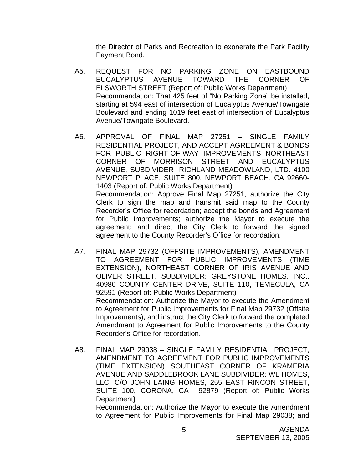the Director of Parks and Recreation to exonerate the Park Facility Payment Bond.

- A5. REQUEST FOR NO PARKING ZONE ON EASTBOUND EUCALYPTUS AVENUE TOWARD THE CORNER OF ELSWORTH STREET (Report of: Public Works Department) Recommendation: That 425 feet of "No Parking Zone" be installed, starting at 594 east of intersection of Eucalyptus Avenue/Towngate Boulevard and ending 1019 feet east of intersection of Eucalyptus Avenue/Towngate Boulevard.
- A6. APPROVAL OF FINAL MAP 27251 SINGLE FAMILY RESIDENTIAL PROJECT, AND ACCEPT AGREEMENT & BONDS FOR PUBLIC RIGHT-OF-WAY IMPROVEMENTS NORTHEAST CORNER OF MORRISON STREET AND EUCALYPTUS AVENUE, SUBDIVIDER -RICHLAND MEADOWLAND, LTD. 4100 NEWPORT PLACE, SUITE 800, NEWPORT BEACH, CA 92660- 1403 (Report of: Public Works Department) Recommendation: Approve Final Map 27251, authorize the City Clerk to sign the map and transmit said map to the County Recorder's Office for recordation; accept the bonds and Agreement for Public Improvements; authorize the Mayor to execute the agreement; and direct the City Clerk to forward the signed agreement to the County Recorder's Office for recordation.
- A7. FINAL MAP 29732 (OFFSITE IMPROVEMENTS), AMENDMENT TO AGREEMENT FOR PUBLIC IMPROVEMENTS (TIME EXTENSION), NORTHEAST CORNER OF IRIS AVENUE AND OLIVER STREET, SUBDIVIDER: GREYSTONE HOMES, INC., 40980 COUNTY CENTER DRIVE, SUITE 110, TEMECULA, CA 92591 (Report of: Public Works Department) Recommendation: Authorize the Mayor to execute the Amendment to Agreement for Public Improvements for Final Map 29732 (Offsite Improvements); and instruct the City Clerk to forward the completed Amendment to Agreement for Public Improvements to the County Recorder's Office for recordation.
- A8. FINAL MAP 29038 SINGLE FAMILY RESIDENTIAL PROJECT, AMENDMENT TO AGREEMENT FOR PUBLIC IMPROVEMENTS (TIME EXTENSION) SOUTHEAST CORNER OF KRAMERIA AVENUE AND SADDLEBROOK LANE SUBDIVIDER: WL HOMES, LLC, C/O JOHN LAING HOMES, 255 EAST RINCON STREET, SUITE 100, CORONA, CA 92879 (Report of: Public Works Department**)**

 Recommendation: Authorize the Mayor to execute the Amendment to Agreement for Public Improvements for Final Map 29038; and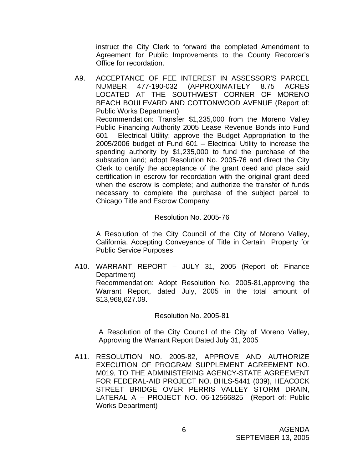instruct the City Clerk to forward the completed Amendment to Agreement for Public Improvements to the County Recorder's Office for recordation.

A9. ACCEPTANCE OF FEE INTEREST IN ASSESSOR'S PARCEL NUMBER 477-190-032 (APPROXIMATELY 8.75 ACRES LOCATED AT THE SOUTHWEST CORNER OF MORENO BEACH BOULEVARD AND COTTONWOOD AVENUE (Report of: Public Works Department) Recommendation: Transfer \$1,235,000 from the Moreno Valley Public Financing Authority 2005 Lease Revenue Bonds into Fund 601 - Electrical Utility; approve the Budget Appropriation to the 2005/2006 budget of Fund 601 – Electrical Utility to increase the spending authority by \$1,235,000 to fund the purchase of the substation land; adopt Resolution No. 2005-76 and direct the City Clerk to certify the acceptance of the grant deed and place said certification in escrow for recordation with the original grant deed when the escrow is complete; and authorize the transfer of funds necessary to complete the purchase of the subject parcel to Chicago Title and Escrow Company.

#### Resolution No. 2005-76

 A Resolution of the City Council of the City of Moreno Valley, California, Accepting Conveyance of Title in Certain Property for Public Service Purposes

A10. WARRANT REPORT – JULY 31, 2005 (Report of: Finance Department)

 Recommendation: Adopt Resolution No. 2005-81,approving the Warrant Report, dated July, 2005 in the total amount of \$13,968,627.09.

#### Resolution No. 2005-81

A Resolution of the City Council of the City of Moreno Valley, Approving the Warrant Report Dated July 31, 2005

A11. RESOLUTION NO. 2005-82, APPROVE AND AUTHORIZE EXECUTION OF PROGRAM SUPPLEMENT AGREEMENT NO. M019, TO THE ADMINISTERING AGENCY-STATE AGREEMENT FOR FEDERAL-AID PROJECT NO. BHLS-5441 (039), HEACOCK STREET BRIDGE OVER PERRIS VALLEY STORM DRAIN, LATERAL A – PROJECT NO. 06-12566825 (Report of: Public Works Department)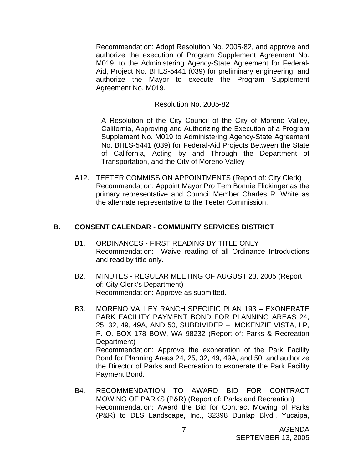Recommendation: Adopt Resolution No. 2005-82, and approve and authorize the execution of Program Supplement Agreement No. M019, to the Administering Agency-State Agreement for Federal-Aid, Project No. BHLS-5441 (039) for preliminary engineering; and authorize the Mayor to execute the Program Supplement Agreement No. M019.

#### Resolution No. 2005-82

 A Resolution of the City Council of the City of Moreno Valley, California, Approving and Authorizing the Execution of a Program Supplement No. M019 to Administering Agency-State Agreement No. BHLS-5441 (039) for Federal-Aid Projects Between the State of California, Acting by and Through the Department of Transportation, and the City of Moreno Valley

A12. TEETER COMMISSION APPOINTMENTS (Report of: City Clerk) Recommendation: Appoint Mayor Pro Tem Bonnie Flickinger as the primary representative and Council Member Charles R. White as the alternate representative to the Teeter Commission.

#### **B. CONSENT CALENDAR** - **COMMUNITY SERVICES DISTRICT**

- B1. ORDINANCES FIRST READING BY TITLE ONLY Recommendation: Waive reading of all Ordinance Introductions and read by title only.
- B2. MINUTES REGULAR MEETING OF AUGUST 23, 2005 (Report of: City Clerk's Department) Recommendation: Approve as submitted.
- B3. MORENO VALLEY RANCH SPECIFIC PLAN 193 EXONERATE PARK FACILITY PAYMENT BOND FOR PLANNING AREAS 24, 25, 32, 49, 49A, AND 50, SUBDIVIDER – MCKENZIE VISTA, LP, P. O. BOX 178 BOW, WA 98232 (Report of: Parks & Recreation Department) Recommendation: Approve the exoneration of the Park Facility Bond for Planning Areas 24, 25, 32, 49, 49A, and 50; and authorize the Director of Parks and Recreation to exonerate the Park Facility Payment Bond.
- B4. RECOMMENDATION TO AWARD BID FOR CONTRACT MOWING OF PARKS (P&R) (Report of: Parks and Recreation) Recommendation: Award the Bid for Contract Mowing of Parks (P&R) to DLS Landscape, Inc., 32398 Dunlap Blvd., Yucaipa,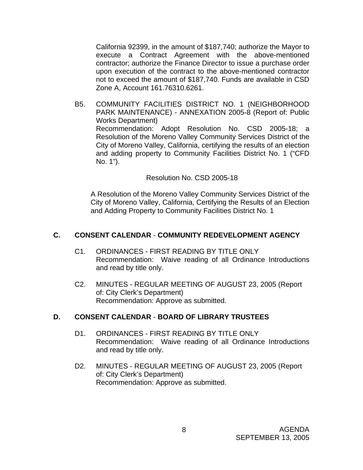California 92399, in the amount of \$187,740; authorize the Mayor to execute a Contract Agreement with the above-mentioned contractor; authorize the Finance Director to issue a purchase order upon execution of the contract to the above-mentioned contractor not to exceed the amount of \$187,740. Funds are available in CSD Zone A, Account 161.76310.6261.

B5. COMMUNITY FACILITIES DISTRICT NO. 1 (NEIGHBORHOOD PARK MAINTENANCE) - ANNEXATION 2005-8 (Report of: Public Works Department) Recommendation: Adopt Resolution No. CSD 2005-18; a Resolution of the Moreno Valley Community Services District of the City of Moreno Valley, California, certifying the results of an election and adding property to Community Facilities District No. 1 ("CFD No. 1").

### Resolution No. CSD 2005-18

 A Resolution of the Moreno Valley Community Services District of the City of Moreno Valley, California, Certifying the Results of an Election and Adding Property to Community Facilities District No. 1

# **C. CONSENT CALENDAR** - **COMMUNITY REDEVELOPMENT AGENCY**

- C1. ORDINANCES FIRST READING BY TITLE ONLY Recommendation: Waive reading of all Ordinance Introductions and read by title only.
- C2. MINUTES REGULAR MEETING OF AUGUST 23, 2005 (Report of: City Clerk's Department) Recommendation: Approve as submitted.

### **D. CONSENT CALENDAR** - **BOARD OF LIBRARY TRUSTEES**

- D1. ORDINANCES FIRST READING BY TITLE ONLY Recommendation: Waive reading of all Ordinance Introductions and read by title only.
- D2. MINUTES REGULAR MEETING OF AUGUST 23, 2005 (Report of: City Clerk's Department) Recommendation: Approve as submitted.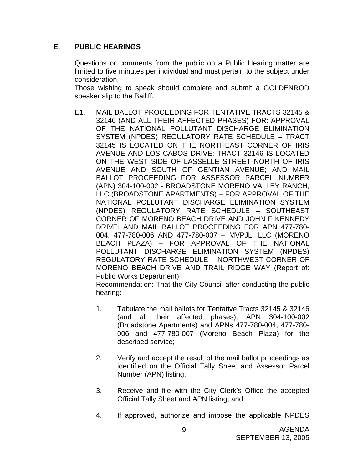# **E. PUBLIC HEARINGS**

Questions or comments from the public on a Public Hearing matter are limited to five minutes per individual and must pertain to the subject under consideration.

 Those wishing to speak should complete and submit a GOLDENROD speaker slip to the Bailiff.

E1. MAIL BALLOT PROCEEDING FOR TENTATIVE TRACTS 32145 & 32146 (AND ALL THEIR AFFECTED PHASES) FOR: APPROVAL OF THE NATIONAL POLLUTANT DISCHARGE ELIMINATION SYSTEM (NPDES) REGULATORY RATE SCHEDULE – TRACT 32145 IS LOCATED ON THE NORTHEAST CORNER OF IRIS AVENUE AND LOS CABOS DRIVE; TRACT 32146 IS LOCATED ON THE WEST SIDE OF LASSELLE STREET NORTH OF IRIS AVENUE AND SOUTH OF GENTIAN AVENUE; AND MAIL BALLOT PROCEEDING FOR ASSESSOR PARCEL NUMBER (APN) 304-100-002 - BROADSTONE MORENO VALLEY RANCH, LLC (BROADSTONE APARTMENTS) – FOR APPROVAL OF THE NATIONAL POLLUTANT DISCHARGE ELIMINATION SYSTEM (NPDES) REGULATORY RATE SCHEDULE – SOUTHEAST CORNER OF MORENO BEACH DRIVE AND JOHN F KENNEDY DRIVE; AND MAIL BALLOT PROCEEDING FOR APN 477-780- 004, 477-780-006 AND 477-780-007 – MVPJL, LLC (MORENO BEACH PLAZA) – FOR APPROVAL OF THE NATIONAL POLLUTANT DISCHARGE ELIMINATION SYSTEM (NPDES) REGULATORY RATE SCHEDULE – NORTHWEST CORNER OF MORENO BEACH DRIVE AND TRAIL RIDGE WAY (Report of: Public Works Department)

 Recommendation: That the City Council after conducting the public hearing:

- 1. Tabulate the mail ballots for Tentative Tracts 32145 & 32146 (and all their affected phases), APN 304-100-002 (Broadstone Apartments) and APNs 477-780-004, 477-780- 006 and 477-780-007 (Moreno Beach Plaza) for the described service;
- 2. Verify and accept the result of the mail ballot proceedings as identified on the Official Tally Sheet and Assessor Parcel Number (APN) listing;
- 3. Receive and file with the City Clerk's Office the accepted Official Tally Sheet and APN listing; and
- 4. If approved, authorize and impose the applicable NPDES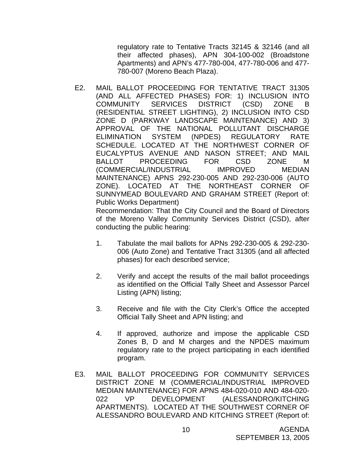regulatory rate to Tentative Tracts 32145 & 32146 (and all their affected phases), APN 304-100-002 (Broadstone Apartments) and APN's 477-780-004, 477-780-006 and 477- 780-007 (Moreno Beach Plaza).

E2. MAIL BALLOT PROCEEDING FOR TENTATIVE TRACT 31305 (AND ALL AFFECTED PHASES) FOR: 1) INCLUSION INTO COMMUNITY SERVICES DISTRICT (CSD) ZONE B (RESIDENTIAL STREET LIGHTING), 2) INCLUSION INTO CSD ZONE D (PARKWAY LANDSCAPE MAINTENANCE) AND 3) APPROVAL OF THE NATIONAL POLLUTANT DISCHARGE ELIMINATION SYSTEM (NPDES) REGULATORY RATE SCHEDULE. LOCATED AT THE NORTHWEST CORNER OF EUCALYPTUS AVENUE AND NASON STREET; AND MAIL BALLOT PROCEEDING FOR CSD ZONE M (COMMERCIAL/INDUSTRIAL IMPROVED MEDIAN MAINTENANCE) APNS 292-230-005 AND 292-230-006 (AUTO ZONE). LOCATED AT THE NORTHEAST CORNER OF SUNNYMEAD BOULEVARD AND GRAHAM STREET (Report of: Public Works Department)

 Recommendation: That the City Council and the Board of Directors of the Moreno Valley Community Services District (CSD), after conducting the public hearing:

- 1. Tabulate the mail ballots for APNs 292-230-005 & 292-230- 006 (Auto Zone) and Tentative Tract 31305 (and all affected phases) for each described service;
- 2. Verify and accept the results of the mail ballot proceedings as identified on the Official Tally Sheet and Assessor Parcel Listing (APN) listing;
- 3. Receive and file with the City Clerk's Office the accepted Official Tally Sheet and APN listing; and
- 4. If approved, authorize and impose the applicable CSD Zones B, D and M charges and the NPDES maximum regulatory rate to the project participating in each identified program.
- E3. MAIL BALLOT PROCEEDING FOR COMMUNITY SERVICES DISTRICT ZONE M (COMMERCIAL/INDUSTRIAL IMPROVED MEDIAN MAINTENANCE) FOR APNS 484-020-010 AND 484-020- 022 VP DEVELOPMENT (ALESSANDRO/KITCHING APARTMENTS). LOCATED AT THE SOUTHWEST CORNER OF ALESSANDRO BOULEVARD AND KITCHING STREET (Report of: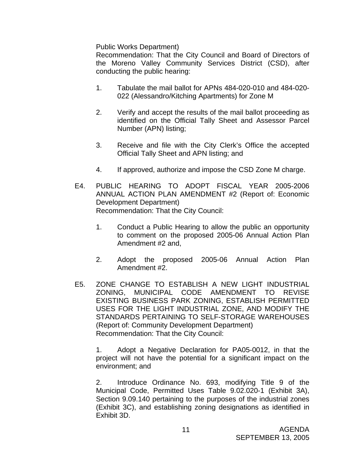Public Works Department)

 Recommendation: That the City Council and Board of Directors of the Moreno Valley Community Services District (CSD), after conducting the public hearing:

- 1. Tabulate the mail ballot for APNs 484-020-010 and 484-020- 022 (Alessandro/Kitching Apartments) for Zone M
- 2. Verify and accept the results of the mail ballot proceeding as identified on the Official Tally Sheet and Assessor Parcel Number (APN) listing;
- 3. Receive and file with the City Clerk's Office the accepted Official Tally Sheet and APN listing; and
- 4. If approved, authorize and impose the CSD Zone M charge.
- E4. PUBLIC HEARING TO ADOPT FISCAL YEAR 2005-2006 ANNUAL ACTION PLAN AMENDMENT #2 (Report of: Economic Development Department) Recommendation: That the City Council:
	- 1. Conduct a Public Hearing to allow the public an opportunity to comment on the proposed 2005-06 Annual Action Plan Amendment #2 and,
	- 2. Adopt the proposed 2005-06 Annual Action Plan Amendment #2.
- E5. ZONE CHANGE TO ESTABLISH A NEW LIGHT INDUSTRIAL ZONING, MUNICIPAL CODE AMENDMENT TO REVISE EXISTING BUSINESS PARK ZONING, ESTABLISH PERMITTED USES FOR THE LIGHT INDUSTRIAL ZONE, AND MODIFY THE STANDARDS PERTAINING TO SELF-STORAGE WAREHOUSES (Report of: Community Development Department) Recommendation: That the City Council:

1. Adopt a Negative Declaration for PA05-0012, in that the project will not have the potential for a significant impact on the environment; and

 2. Introduce Ordinance No. 693, modifying Title 9 of the Municipal Code, Permitted Uses Table 9.02.020-1 (Exhibit 3A), Section 9.09.140 pertaining to the purposes of the industrial zones (Exhibit 3C), and establishing zoning designations as identified in Exhibit 3D.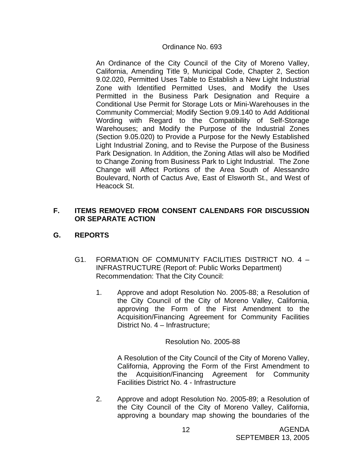### Ordinance No. 693

An Ordinance of the City Council of the City of Moreno Valley, California, Amending Title 9, Municipal Code, Chapter 2, Section 9.02.020, Permitted Uses Table to Establish a New Light Industrial Zone with Identified Permitted Uses, and Modify the Uses Permitted in the Business Park Designation and Require a Conditional Use Permit for Storage Lots or Mini-Warehouses in the Community Commercial; Modify Section 9.09.140 to Add Additional Wording with Regard to the Compatibility of Self-Storage Warehouses; and Modify the Purpose of the Industrial Zones (Section 9.05.020) to Provide a Purpose for the Newly Established Light Industrial Zoning, and to Revise the Purpose of the Business Park Designation. In Addition, the Zoning Atlas will also be Modified to Change Zoning from Business Park to Light Industrial. The Zone Change will Affect Portions of the Area South of Alessandro Boulevard, North of Cactus Ave, East of Elsworth St., and West of Heacock St.

# **F. ITEMS REMOVED FROM CONSENT CALENDARS FOR DISCUSSION OR SEPARATE ACTION**

# **G. REPORTS**

- G1. FORMATION OF COMMUNITY FACILITIES DISTRICT NO. 4 INFRASTRUCTURE (Report of: Public Works Department) Recommendation: That the City Council:
	- 1. Approve and adopt Resolution No. 2005-88; a Resolution of the City Council of the City of Moreno Valley, California, approving the Form of the First Amendment to the Acquisition/Financing Agreement for Community Facilities District No. 4 – Infrastructure;

### Resolution No. 2005-88

 A Resolution of the City Council of the City of Moreno Valley, California, Approving the Form of the First Amendment to the Acquisition/Financing Agreement for Community Facilities District No. 4 - Infrastructure

2. Approve and adopt Resolution No. 2005-89; a Resolution of the City Council of the City of Moreno Valley, California, approving a boundary map showing the boundaries of the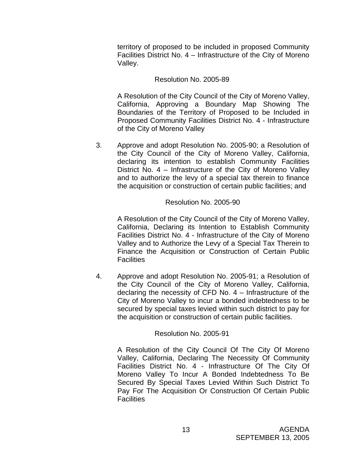territory of proposed to be included in proposed Community Facilities District No. 4 – Infrastructure of the City of Moreno Valley.

# Resolution No. 2005-89

 A Resolution of the City Council of the City of Moreno Valley, California, Approving a Boundary Map Showing The Boundaries of the Territory of Proposed to be Included in Proposed Community Facilities District No. 4 - Infrastructure of the City of Moreno Valley

3. Approve and adopt Resolution No. 2005-90; a Resolution of the City Council of the City of Moreno Valley, California, declaring its intention to establish Community Facilities District No. 4 – Infrastructure of the City of Moreno Valley and to authorize the levy of a special tax therein to finance the acquisition or construction of certain public facilities; and

# Resolution No. 2005-90

 A Resolution of the City Council of the City of Moreno Valley, California, Declaring its Intention to Establish Community Facilities District No. 4 - Infrastructure of the City of Moreno Valley and to Authorize the Levy of a Special Tax Therein to Finance the Acquisition or Construction of Certain Public **Facilities** 

4. Approve and adopt Resolution No. 2005-91; a Resolution of the City Council of the City of Moreno Valley, California, declaring the necessity of CFD No. 4 – Infrastructure of the City of Moreno Valley to incur a bonded indebtedness to be secured by special taxes levied within such district to pay for the acquisition or construction of certain public facilities.

### Resolution No. 2005-91

 A Resolution of the City Council Of The City Of Moreno Valley, California, Declaring The Necessity Of Community Facilities District No. 4 - Infrastructure Of The City Of Moreno Valley To Incur A Bonded Indebtedness To Be Secured By Special Taxes Levied Within Such District To Pay For The Acquisition Or Construction Of Certain Public **Facilities**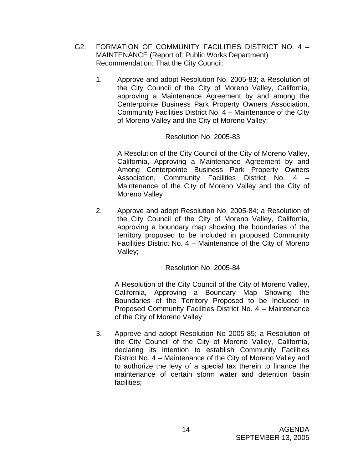- G2. FORMATION OF COMMUNITY FACILITIES DISTRICT NO. 4 MAINTENANCE (Report of: Public Works Department) Recommendation: That the City Council:
	- 1. Approve and adopt Resolution No. 2005-83; a Resolution of the City Council of the City of Moreno Valley, California, approving a Maintenance Agreement by and among the Centerpointe Business Park Property Owners Association, Community Facilities District No. 4 – Maintenance of the City of Moreno Valley and the City of Moreno Valley;

 A Resolution of the City Council of the City of Moreno Valley, California, Approving a Maintenance Agreement by and Among Centerpointe Business Park Property Owners Association, Community Facilities District No. 4 – Maintenance of the City of Moreno Valley and the City of Moreno Valley

2. Approve and adopt Resolution No. 2005-84; a Resolution of the City Council of the City of Moreno Valley, California, approving a boundary map showing the boundaries of the territory proposed to be included in proposed Community Facilities District No. 4 – Maintenance of the City of Moreno Valley;

# Resolution No. 2005-84

 A Resolution of the City Council of the City of Moreno Valley, California, Approving a Boundary Map Showing the Boundaries of the Territory Proposed to be Included in Proposed Community Facilities District No. 4 – Maintenance of the City of Moreno Valley

3. Approve and adopt Resolution No 2005-85; a Resolution of the City Council of the City of Moreno Valley, California, declaring its intention to establish Community Facilities District No. 4 – Maintenance of the City of Moreno Valley and to authorize the levy of a special tax therein to finance the maintenance of certain storm water and detention basin facilities;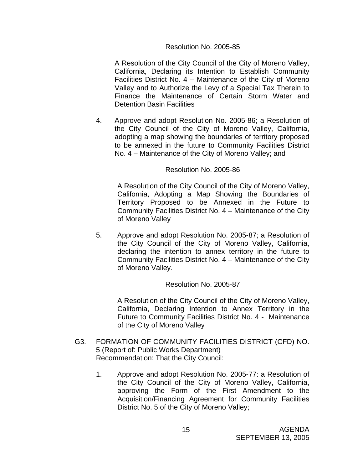A Resolution of the City Council of the City of Moreno Valley, California, Declaring its Intention to Establish Community Facilities District No. 4 – Maintenance of the City of Moreno Valley and to Authorize the Levy of a Special Tax Therein to Finance the Maintenance of Certain Storm Water and Detention Basin Facilities

4. Approve and adopt Resolution No. 2005-86; a Resolution of the City Council of the City of Moreno Valley, California, adopting a map showing the boundaries of territory proposed to be annexed in the future to Community Facilities District No. 4 – Maintenance of the City of Moreno Valley; and

#### Resolution No. 2005-86

 A Resolution of the City Council of the City of Moreno Valley, California, Adopting a Map Showing the Boundaries of Territory Proposed to be Annexed in the Future to Community Facilities District No. 4 – Maintenance of the City of Moreno Valley

5. Approve and adopt Resolution No. 2005-87; a Resolution of the City Council of the City of Moreno Valley, California, declaring the intention to annex territory in the future to Community Facilities District No. 4 – Maintenance of the City of Moreno Valley.

### Resolution No. 2005-87

 A Resolution of the City Council of the City of Moreno Valley, California, Declaring Intention to Annex Territory in the Future to Community Facilities District No. 4 - Maintenance of the City of Moreno Valley

- G3. FORMATION OF COMMUNITY FACILITIES DISTRICT (CFD) NO. 5 (Report of: Public Works Department) Recommendation: That the City Council:
	- 1. Approve and adopt Resolution No. 2005-77: a Resolution of the City Council of the City of Moreno Valley, California, approving the Form of the First Amendment to the Acquisition/Financing Agreement for Community Facilities District No. 5 of the City of Moreno Valley;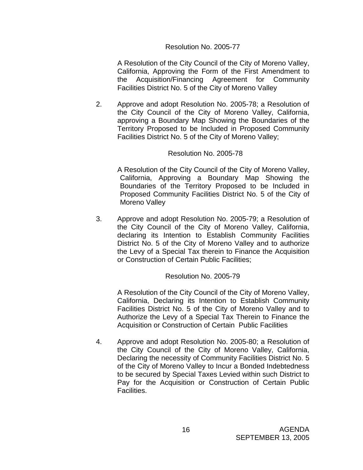A Resolution of the City Council of the City of Moreno Valley, California, Approving the Form of the First Amendment to the Acquisition/Financing Agreement for Community Facilities District No. 5 of the City of Moreno Valley

2. Approve and adopt Resolution No. 2005-78; a Resolution of the City Council of the City of Moreno Valley, California, approving a Boundary Map Showing the Boundaries of the Territory Proposed to be Included in Proposed Community Facilities District No. 5 of the City of Moreno Valley;

#### Resolution No. 2005-78

 A Resolution of the City Council of the City of Moreno Valley, California, Approving a Boundary Map Showing the Boundaries of the Territory Proposed to be Included in Proposed Community Facilities District No. 5 of the City of Moreno Valley

3. Approve and adopt Resolution No. 2005-79; a Resolution of the City Council of the City of Moreno Valley, California, declaring its Intention to Establish Community Facilities District No. 5 of the City of Moreno Valley and to authorize the Levy of a Special Tax therein to Finance the Acquisition or Construction of Certain Public Facilities;

#### Resolution No. 2005-79

 A Resolution of the City Council of the City of Moreno Valley, California, Declaring its Intention to Establish Community Facilities District No. 5 of the City of Moreno Valley and to Authorize the Levy of a Special Tax Therein to Finance the Acquisition or Construction of Certain Public Facilities

4. Approve and adopt Resolution No. 2005-80; a Resolution of the City Council of the City of Moreno Valley, California, Declaring the necessity of Community Facilities District No. 5 of the City of Moreno Valley to Incur a Bonded Indebtedness to be secured by Special Taxes Levied within such District to Pay for the Acquisition or Construction of Certain Public Facilities.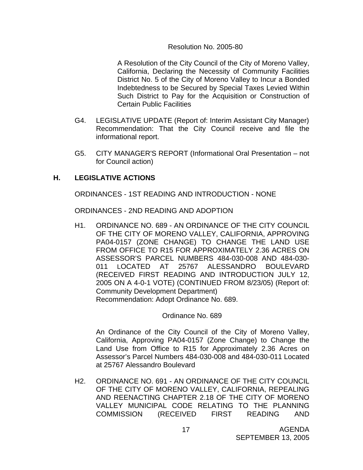A Resolution of the City Council of the City of Moreno Valley, California, Declaring the Necessity of Community Facilities District No. 5 of the City of Moreno Valley to Incur a Bonded Indebtedness to be Secured by Special Taxes Levied Within Such District to Pay for the Acquisition or Construction of Certain Public Facilities

- G4. LEGISLATIVE UPDATE (Report of: Interim Assistant City Manager) Recommendation: That the City Council receive and file the informational report.
- G5. CITY MANAGER'S REPORT (Informational Oral Presentation not for Council action)

### **H. LEGISLATIVE ACTIONS**

ORDINANCES - 1ST READING AND INTRODUCTION - NONE

ORDINANCES - 2ND READING AND ADOPTION

H1. ORDINANCE NO. 689 - AN ORDINANCE OF THE CITY COUNCIL OF THE CITY OF MORENO VALLEY, CALIFORNIA, APPROVING PA04-0157 (ZONE CHANGE) TO CHANGE THE LAND USE FROM OFFICE TO R15 FOR APPROXIMATELY 2.36 ACRES ON ASSESSOR'S PARCEL NUMBERS 484-030-008 AND 484-030- 011 LOCATED AT 25767 ALESSANDRO BOULEVARD (RECEIVED FIRST READING AND INTRODUCTION JULY 12, 2005 ON A 4-0-1 VOTE) (CONTINUED FROM 8/23/05) (Report of: Community Development Department) Recommendation: Adopt Ordinance No. 689.

Ordinance No. 689

 An Ordinance of the City Council of the City of Moreno Valley, California, Approving PA04-0157 (Zone Change) to Change the Land Use from Office to R15 for Approximately 2.36 Acres on Assessor's Parcel Numbers 484-030-008 and 484-030-011 Located at 25767 Alessandro Boulevard

H2. ORDINANCE NO. 691 - AN ORDINANCE OF THE CITY COUNCIL OF THE CITY OF MORENO VALLEY, CALIFORNIA, REPEALING AND REENACTING CHAPTER 2.18 OF THE CITY OF MORENO VALLEY MUNICIPAL CODE RELATING TO THE PLANNING COMMISSION (RECEIVED FIRST READING AND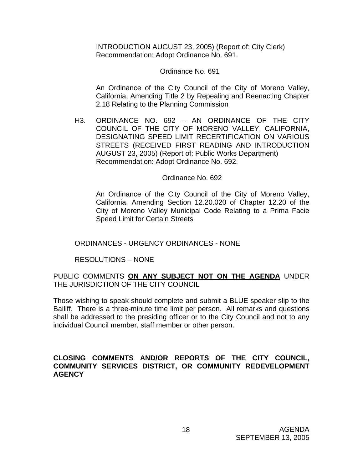INTRODUCTION AUGUST 23, 2005) (Report of: City Clerk) Recommendation: Adopt Ordinance No. 691.

#### Ordinance No. 691

 An Ordinance of the City Council of the City of Moreno Valley, California, Amending Title 2 by Repealing and Reenacting Chapter 2.18 Relating to the Planning Commission

H3. ORDINANCE NO. 692 – AN ORDINANCE OF THE CITY COUNCIL OF THE CITY OF MORENO VALLEY, CALIFORNIA, DESIGNATING SPEED LIMIT RECERTIFICATION ON VARIOUS STREETS (RECEIVED FIRST READING AND INTRODUCTION AUGUST 23, 2005) (Report of: Public Works Department) Recommendation: Adopt Ordinance No. 692.

#### Ordinance No. 692

An Ordinance of the City Council of the City of Moreno Valley, California, Amending Section 12.20.020 of Chapter 12.20 of the City of Moreno Valley Municipal Code Relating to a Prima Facie Speed Limit for Certain Streets

### ORDINANCES - URGENCY ORDINANCES - NONE

### RESOLUTIONS – NONE

### PUBLIC COMMENTS **ON ANY SUBJECT NOT ON THE AGENDA** UNDER THE JURISDICTION OF THE CITY COUNCIL

Those wishing to speak should complete and submit a BLUE speaker slip to the Bailiff. There is a three-minute time limit per person. All remarks and questions shall be addressed to the presiding officer or to the City Council and not to any individual Council member, staff member or other person.

### **CLOSING COMMENTS AND/OR REPORTS OF THE CITY COUNCIL, COMMUNITY SERVICES DISTRICT, OR COMMUNITY REDEVELOPMENT AGENCY**